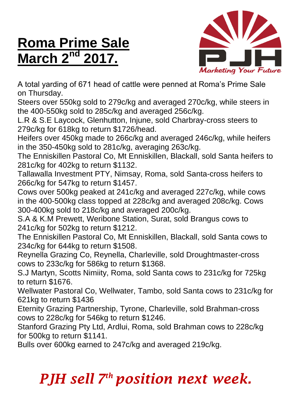## **Roma Prime Sale March 2nd 2017.**



A total yarding of 671 head of cattle were penned at Roma's Prime Sale on Thursday.

Steers over 550kg sold to 279c/kg and averaged 270c/kg, while steers in the 400-550kg sold to 285c/kg and averaged 256c/kg.

L.R & S.E Laycock, Glenhutton, Injune, sold Charbray-cross steers to 279c/kg for 618kg to return \$1726/head.

Heifers over 450kg made to 266c/kg and averaged 246c/kg, while heifers in the 350-450kg sold to 281c/kg, averaging 263c/kg.

The Enniskillen Pastoral Co, Mt Enniskillen, Blackall, sold Santa heifers to 281c/kg for 402kg to return \$1132.

Tallawalla Investment PTY, Nimsay, Roma, sold Santa-cross heifers to 266c/kg for 547kg to return \$1457.

Cows over 500kg peaked at 241c/kg and averaged 227c/kg, while cows in the 400-500kg class topped at 228c/kg and averaged 208c/kg. Cows 300-400kg sold to 218c/kg and averaged 200c/kg.

S.A & K.M Prewett, Weribone Station, Surat, sold Brangus cows to 241c/kg for 502kg to return \$1212.

The Enniskillen Pastoral Co, Mt Enniskillen, Blackall, sold Santa cows to 234c/kg for 644kg to return \$1508.

Reynella Grazing Co, Reynella, Charleville, sold Droughtmaster-cross cows to 233c/kg for 586kg to return \$1368.

S.J Martyn, Scotts Nimiity, Roma, sold Santa cows to 231c/kg for 725kg to return \$1676.

Wellwater Pastoral Co, Wellwater, Tambo, sold Santa cows to 231c/kg for 621kg to return \$1436

Eternity Grazing Partnership, Tyrone, Charleville, sold Brahman-cross cows to 228c/kg for 546kg to return \$1246.

Stanford Grazing Pty Ltd, Ardlui, Roma, sold Brahman cows to 228c/kg for 500kg to return \$1141.

Bulls over 600kg earned to 247c/kg and averaged 219c/kg.

## *PJH sell 7 th position next week.*